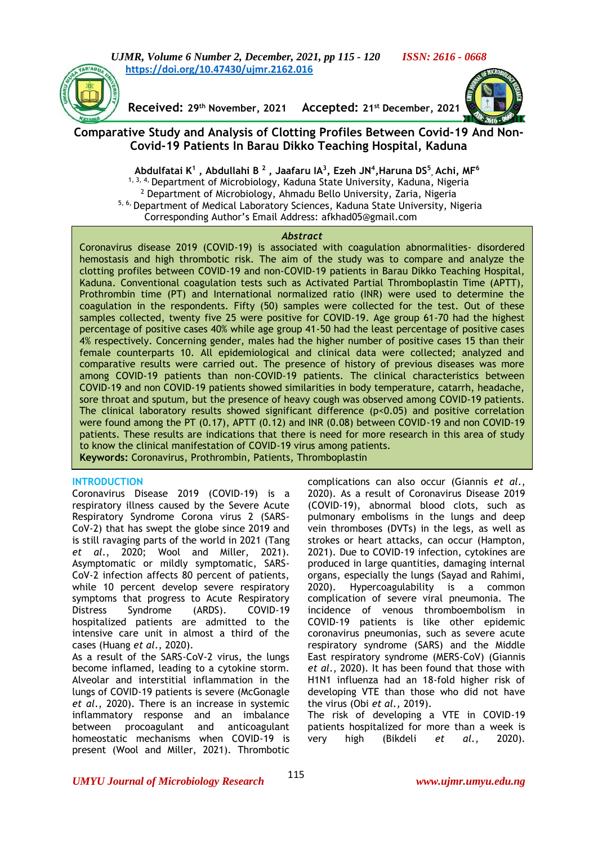*UJMR, Volume 6 Number 2, December, 2021, pp 115 - 120 ISSN: 2616 - 0668* **[https://doi.org/10.47430/ujmr.2162.016](https://doi.org/10.47430/ujmr.2162.01)**



**Received: 29th November, 2021 Accepted: 21st December, 2021**



# **Comparative Study and Analysis of Clotting Profiles Between Covid-19 And Non-Covid-19 Patients In Barau Dikko Teaching Hospital, Kaduna**

**Abdulfatai K<sup>1</sup> , Abdullahi B <sup>2</sup> , Jaafaru IA<sup>3</sup> , Ezeh JN<sup>4</sup> ,Haruna DS<sup>5</sup> , Achi, MF<sup>6</sup>** <sup>1, 3, 4,</sup> Department of Microbiology, Kaduna State University, Kaduna, Nigeria <sup>2</sup> Department of Microbiology, Ahmadu Bello University, Zaria, Nigeria 5, 6, Department of Medical Laboratory Sciences, Kaduna State University, Nigeria Corresponding Author's Email Address: afkhad05@gmail.com

#### *Abstract*

Coronavirus disease 2019 (COVID-19) is associated with coagulation abnormalities- disordered hemostasis and high thrombotic risk. The aim of the study was to compare and analyze the clotting profiles between COVID-19 and non-COVID-19 patients in Barau Dikko Teaching Hospital, Kaduna. Conventional coagulation tests such as Activated Partial Thromboplastin Time (APTT), Prothrombin time (PT) and International normalized ratio (INR) were used to determine the coagulation in the respondents. Fifty (50) samples were collected for the test. Out of these samples collected, twenty five 25 were positive for COVID-19. Age group 61-70 had the highest percentage of positive cases 40% while age group 41-50 had the least percentage of positive cases 4% respectively. Concerning gender, males had the higher number of positive cases 15 than their female counterparts 10. All epidemiological and clinical data were collected; analyzed and comparative results were carried out. The presence of history of previous diseases was more among COVID-19 patients than non-COVID-19 patients. The clinical characteristics between COVID-19 and non COVID-19 patients showed similarities in body temperature, catarrh, headache, sore throat and sputum, but the presence of heavy cough was observed among COVID-19 patients. The clinical laboratory results showed significant difference  $(p<0.05)$  and positive correlation were found among the PT (0.17), APTT (0.12) and INR (0.08) between COVID-19 and non COVID-19 patients. These results are indications that there is need for more research in this area of study to know the clinical manifestation of COVID-19 virus among patients. **Keywords:** Coronavirus, Prothrombin, Patients, Thromboplastin

#### **INTRODUCTION**

Coronavirus Disease 2019 (COVID-19) is a respiratory illness caused by the Severe Acute Respiratory Syndrome Corona virus 2 (SARS-CoV-2) that has swept the globe since 2019 and is still ravaging parts of the world in 2021 (Tang *et al*., 2020; Wool and Miller, 2021). Asymptomatic or mildly symptomatic, SARS-CoV-2 infection affects 80 percent of patients, while 10 percent develop severe respiratory symptoms that progress to Acute Respiratory Distress Syndrome (ARDS). COVID-19 hospitalized patients are admitted to the intensive care unit in almost a third of the cases (Huang *et al*., 2020).

As a result of the SARS-CoV-2 virus, the lungs become inflamed, leading to a cytokine storm. Alveolar and interstitial inflammation in the lungs of COVID-19 patients is severe (McGonagle *et al*., 2020). There is an increase in systemic inflammatory response and an imbalance between procoagulant and anticoagulant homeostatic mechanisms when COVID-19 is present (Wool and Miller, 2021). Thrombotic

complications can also occur (Giannis *et al*., 2020). As a result of Coronavirus Disease 2019 (COVID-19), abnormal blood clots, such as pulmonary embolisms in the lungs and deep vein thromboses (DVTs) in the legs, as well as strokes or heart attacks, can occur (Hampton, 2021). Due to COVID-19 infection, cytokines are produced in large quantities, damaging internal organs, especially the lungs (Sayad and Rahimi, 2020). Hypercoagulability is a common complication of severe viral pneumonia. The incidence of venous thromboembolism in COVID-19 patients is like other epidemic coronavirus pneumonias, such as severe acute respiratory syndrome (SARS) and the Middle East respiratory syndrome (MERS-CoV) (Giannis *et al*., 2020). It has been found that those with H1N1 influenza had an 18-fold higher risk of developing VTE than those who did not have the virus (Obi *et al.,* 2019).

The risk of developing a VTE in COVID-19 patients hospitalized for more than a week is very high (Bikdeli *et al*., 2020).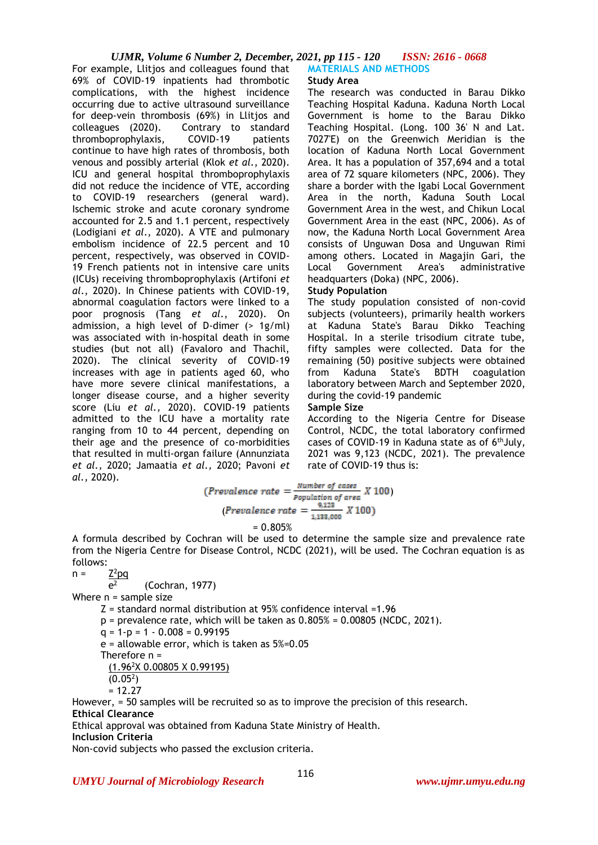For example, Llitjos and colleagues found that 69% of COVID-19 inpatients had thrombotic complications, with the highest incidence occurring due to active ultrasound surveillance for deep-vein thrombosis (69%) in Llitjos and colleagues (2020). Contrary to standard thromboprophylaxis, COVID-19 patients continue to have high rates of thrombosis, both venous and possibly arterial (Klok *et al*., 2020). ICU and general hospital thromboprophylaxis did not reduce the incidence of VTE, according to COVID-19 researchers (general ward). Ischemic stroke and acute coronary syndrome accounted for 2.5 and 1.1 percent, respectively (Lodigiani *et al*., 2020). A VTE and pulmonary embolism incidence of 22.5 percent and 10 percent, respectively, was observed in COVID-19 French patients not in intensive care units (ICUs) receiving thromboprophylaxis (Artifoni *et al*., 2020). In Chinese patients with COVID-19, abnormal coagulation factors were linked to a poor prognosis (Tang *et al*., 2020). On admission, a high level of D-dimer (> 1g/ml) was associated with in-hospital death in some studies (but not all) (Favaloro and Thachil, 2020). The clinical severity of COVID-19 increases with age in patients aged 60, who have more severe clinical manifestations, a longer disease course, and a higher severity score (Liu *et al.,* 2020). COVID-19 patients admitted to the ICU have a mortality rate ranging from 10 to 44 percent, depending on their age and the presence of co-morbidities that resulted in multi-organ failure (Annunziata *et al.,* 2020; Jamaatia *et al.,* 2020; Pavoni *et al.,* 2020).

#### **MATERIALS AND METHODS Study Area**

The research was conducted in Barau Dikko Teaching Hospital Kaduna. Kaduna North Local Government is home to the Barau Dikko Teaching Hospital. (Long. 100 36' N and Lat. 7027'E) on the Greenwich Meridian is the location of Kaduna North Local Government Area. It has a population of 357,694 and a total area of 72 square kilometers (NPC, 2006). They share a border with the Igabi Local Government Area in the north, Kaduna South Local Government Area in the west, and Chikun Local Government Area in the east (NPC, 2006). As of now, the Kaduna North Local Government Area consists of Unguwan Dosa and Unguwan Rimi among others. Located in Magajin Gari, the Local Government Area's administrative headquarters (Doka) (NPC, 2006).

# **Study Population**

The study population consisted of non-covid subjects (volunteers), primarily health workers at Kaduna State's Barau Dikko Teaching Hospital. In a sterile trisodium citrate tube, fifty samples were collected. Data for the remaining (50) positive subjects were obtained<br>from Kaduna State's BDTH coagulation from Kaduna State's BDTH coagulation laboratory between March and September 2020, during the covid-19 pandemic

#### **Sample Size**

According to the Nigeria Centre for Disease Control, NCDC, the total laboratory confirmed cases of COVID-19 in Kaduna state as of 6thJuly, 2021 was 9,123 (NCDC, 2021). The prevalence rate of COVID-19 thus is:

$$
(Prevalence rate = \frac{Number\ of\ cases}{Population\ of\ area} X 100)
$$

$$
(Prevalence rate = \frac{9,123}{1,133,000} X 100)
$$

 $= 0.805%$ 

A formula described by Cochran will be used to determine the sample size and prevalence rate from the Nigeria Centre for Disease Control, NCDC (2021), will be used. The Cochran equation is as follows:

 $n =$  $Z^2$ pq

 $e^2$ (Cochran, 1977) Where n = sample size Z = standard normal distribution at 95% confidence interval =1.96  $p =$  prevalence rate, which will be taken as  $0.805% = 0.00805$  (NCDC, 2021).  $q = 1-p = 1 - 0.008 = 0.99195$ e = allowable error, which is taken as 5%=0.05 Therefore n = (1.96<sup>2</sup>X 0.00805 X 0.99195)  $(0.05<sup>2</sup>)$ 

 $= 12.27$ 

However, = 50 samples will be recruited so as to improve the precision of this research. **Ethical Clearance**

116

Ethical approval was obtained from Kaduna State Ministry of Health.

**Inclusion Criteria**

Non-covid subjects who passed the exclusion criteria.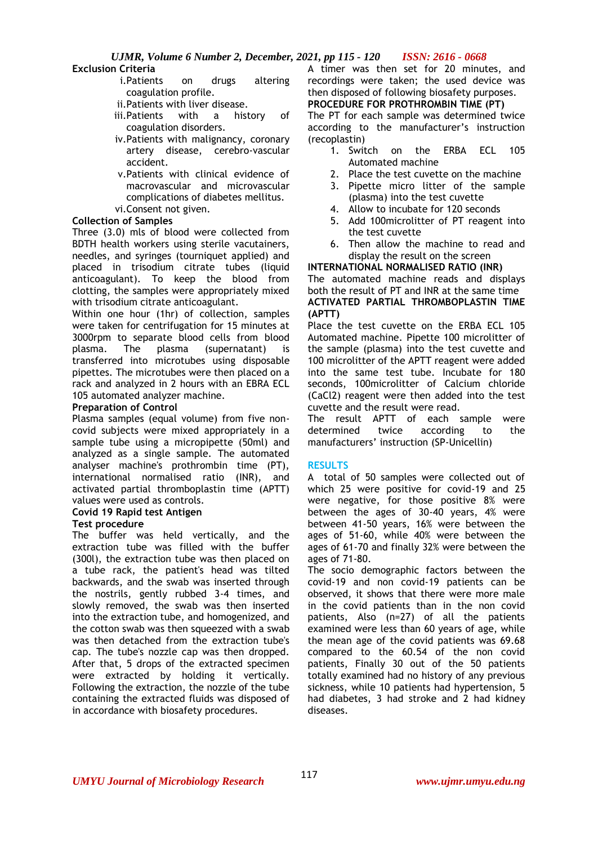# **Exclusion Criteria**

- i.Patients on drugs altering coagulation profile.
- ii.Patients with liver disease.
- iii.Patients with a history of coagulation disorders.
- iv.Patients with malignancy, coronary artery disease, cerebro-vascular accident.
- v.Patients with clinical evidence of macrovascular and microvascular complications of diabetes mellitus.

# vi.Consent not given.

# **Collection of Samples**

Three (3.0) mls of blood were collected from BDTH health workers using sterile vacutainers, needles, and syringes (tourniquet applied) and placed in trisodium citrate tubes (liquid anticoagulant). To keep the blood from clotting, the samples were appropriately mixed with trisodium citrate anticoagulant.

Within one hour (1hr) of collection, samples were taken for centrifugation for 15 minutes at 3000rpm to separate blood cells from blood plasma. The plasma (supernatant) is transferred into microtubes using disposable pipettes. The microtubes were then placed on a rack and analyzed in 2 hours with an EBRA ECL 105 automated analyzer machine.

#### **Preparation of Control**

Plasma samples (equal volume) from five noncovid subjects were mixed appropriately in a sample tube using a micropipette (50ml) and analyzed as a single sample. The automated analyser machine's prothrombin time (PT), international normalised ratio (INR), and activated partial thromboplastin time (APTT) values were used as controls.

# **Covid 19 Rapid test Antigen**

# **Test procedure**

The buffer was held vertically, and the extraction tube was filled with the buffer (300l), the extraction tube was then placed on a tube rack, the patient's head was tilted backwards, and the swab was inserted through the nostrils, gently rubbed 3-4 times, and slowly removed, the swab was then inserted into the extraction tube, and homogenized, and the cotton swab was then squeezed with a swab was then detached from the extraction tube's cap. The tube's nozzle cap was then dropped. After that, 5 drops of the extracted specimen were extracted by holding it vertically. Following the extraction, the nozzle of the tube containing the extracted fluids was disposed of in accordance with biosafety procedures.

A timer was then set for 20 minutes, and recordings were taken; the used device was then disposed of following biosafety purposes. **PROCEDURE FOR PROTHROMBIN TIME (PT)**

The PT for each sample was determined twice according to the manufacturer's instruction (recoplastin)

- 1. Switch on the ERBA ECL 105 Automated machine
- 2. Place the test cuvette on the machine
- 3. Pipette micro litter of the sample (plasma) into the test cuvette
- 4. Allow to incubate for 120 seconds
- 5. Add 100microlitter of PT reagent into the test cuvette
- 6. Then allow the machine to read and display the result on the screen

#### **INTERNATIONAL NORMALISED RATIO (INR)**

The automated machine reads and displays both the result of PT and INR at the same time **ACTIVATED PARTIAL THROMBOPLASTIN TIME (APTT)**

Place the test cuvette on the ERBA ECL 105 Automated machine. Pipette 100 microlitter of the sample (plasma) into the test cuvette and 100 microlitter of the APTT reagent were added into the same test tube. Incubate for 180 seconds, 100microlitter of Calcium chloride (CaCl2) reagent were then added into the test cuvette and the result were read.

The result APTT of each sample were determined twice according to the manufacturers' instruction (SP-Unicellin)

# **RESULTS**

A total of 50 samples were collected out of which 25 were positive for covid-19 and 25 were negative, for those positive 8% were between the ages of 30-40 years, 4% were between 41-50 years, 16% were between the ages of 51-60, while 40% were between the ages of 61-70 and finally 32% were between the ages of 71-80.

The socio demographic factors between the covid-19 and non covid-19 patients can be observed, it shows that there were more male in the covid patients than in the non covid patients, Also (n=27) of all the patients examined were less than 60 years of age, while the mean age of the covid patients was 69.68 compared to the 60.54 of the non covid patients, Finally 30 out of the 50 patients totally examined had no history of any previous sickness, while 10 patients had hypertension, 5 had diabetes, 3 had stroke and 2 had kidney diseases.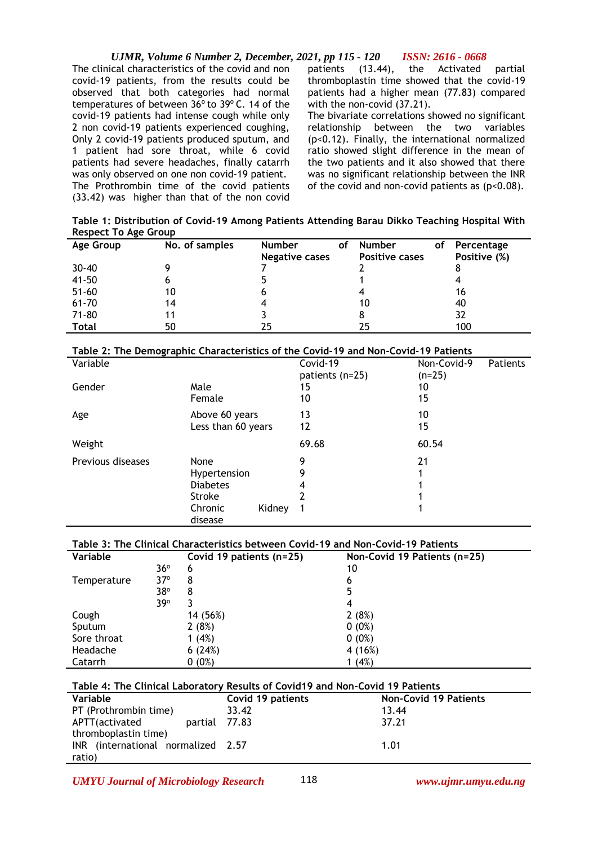The clinical characteristics of the covid and non covid-19 patients, from the results could be observed that both categories had normal temperatures of between 36° to 39° C. 14 of the covid-19 patients had intense cough while only 2 non covid-19 patients experienced coughing, Only 2 covid-19 patients produced sputum, and 1 patient had sore throat, while 6 covid patients had severe headaches, finally catarrh was only observed on one non covid-19 patient. The Prothrombin time of the covid patients (33.42) was higher than that of the non covid patients (13.44), the Activated partial thromboplastin time showed that the covid-19 patients had a higher mean (77.83) compared with the non-covid (37.21).

The bivariate correlations showed no significant relationship between the two variables (p<0.12). Finally, the international normalized ratio showed slight difference in the mean of the two patients and it also showed that there was no significant relationship between the INR of the covid and non-covid patients as  $(p<0.08)$ .

**Table 1: Distribution of Covid-19 Among Patients Attending Barau Dikko Teaching Hospital With Respect To Age Group**

| Age Group    | No. of samples | <b>Number</b>         | оf | <b>Number</b>         | οf | Percentage   |
|--------------|----------------|-----------------------|----|-----------------------|----|--------------|
|              |                | <b>Negative cases</b> |    | <b>Positive cases</b> |    | Positive (%) |
| $30 - 40$    |                |                       |    |                       |    |              |
| $41 - 50$    | O              |                       |    |                       |    |              |
| $51 - 60$    | 10             |                       |    |                       |    | 16           |
| $61 - 70$    | 14             |                       |    | 10                    |    | 40           |
| $71 - 80$    | 11             |                       |    | 8                     |    | 32           |
| <b>Total</b> | 50             | 25                    |    | 25                    |    | 100          |

# **Table 2: The Demographic Characteristics of the Covid-19 and Non-Covid-19 Patients**

| Variable          |                    |        | Covid-19<br>patients (n=25) | Non-Covid-9<br>$(n=25)$ | Patients |
|-------------------|--------------------|--------|-----------------------------|-------------------------|----------|
| Gender            | Male               |        | 15                          | 10                      |          |
|                   | Female             |        | 10                          | 15                      |          |
| Age               | Above 60 years     |        | 13                          | 10                      |          |
|                   | Less than 60 years |        | 12                          | 15                      |          |
| Weight            |                    |        | 69.68                       | 60.54                   |          |
| Previous diseases | None               |        | 9                           | 21                      |          |
|                   | Hypertension       |        | 9                           |                         |          |
|                   | <b>Diabetes</b>    |        | 4                           |                         |          |
|                   | <b>Stroke</b>      |        |                             |                         |          |
|                   | Chronic<br>disease | Kidney |                             |                         |          |

# **Table 3: The Clinical Characteristics between Covid-19 and Non-Covid-19 Patients**

| Variable    |              | Covid 19 patients (n=25) | Non-Covid 19 Patients (n=25) |
|-------------|--------------|--------------------------|------------------------------|
|             | $36^{\circ}$ | 6                        | 10                           |
| Temperature | $37^\circ$   | 8                        | 6                            |
|             | 38°          | 8                        | 5                            |
|             | $39^\circ$   |                          | 4                            |
| Cough       |              | 14 (56%)                 | 2(8%)                        |
| Sputum      |              | 2(8%)                    | $0(0\%)$                     |
| Sore throat |              | 1(4%)                    | $0(0\%)$                     |
| Headache    |              | 6(24%)                   | 4(16%)                       |
| Catarrh     |              | $0(0\%)$                 | 1(4%)                        |

# **Table 4: The Clinical Laboratory Results of Covid19 and Non-Covid 19 Patients**

| Variable                           | Covid 19 patients | <b>Non-Covid 19 Patients</b> |
|------------------------------------|-------------------|------------------------------|
| PT (Prothrombin time)              | 33.42             | 13.44                        |
| APTT(activated<br>partial 77.83    |                   | 37.21                        |
| thromboplastin time)               |                   |                              |
| INR (international normalized 2.57 |                   | 1.01                         |
| ratio)                             |                   |                              |

*UMYU Journal of Microbiology Research www.ujmr.umyu.edu.ng*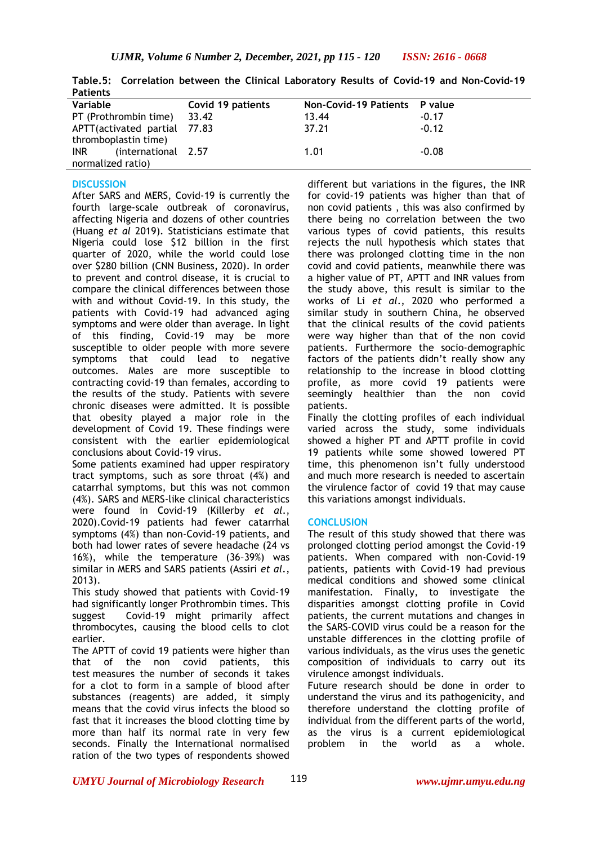| .                                  |                   |                               |         |
|------------------------------------|-------------------|-------------------------------|---------|
| Variable                           | Covid 19 patients | Non-Covid-19 Patients P value |         |
| PT (Prothrombin time)              | 33.42             | 13.44                         | $-0.17$ |
| APTT(activated partial 77.83       |                   | 37.21                         | $-0.12$ |
| thromboplastin time)               |                   |                               |         |
| (international 2.57)<br><b>INR</b> |                   | 1.01                          | $-0.08$ |
| normalized ratio)                  |                   |                               |         |

**Table.5: Correlation between the Clinical Laboratory Results of Covid-19 and Non-Covid-19 Patients**

#### **DISCUSSION**

After SARS and MERS, Covid-19 is currently the fourth large-scale outbreak of coronavirus, affecting Nigeria and dozens of other countries (Huang *et al* 2019). Statisticians estimate that Nigeria could lose \$12 billion in the first quarter of 2020, while the world could lose over \$280 billion (CNN Business, 2020). In order to prevent and control disease, it is crucial to compare the clinical differences between those with and without Covid-19. In this study, the patients with Covid-19 had advanced aging symptoms and were older than average. In light of this finding, Covid-19 may be more susceptible to older people with more severe symptoms that could lead to negative outcomes. Males are more susceptible to contracting covid-19 than females, according to the results of the study. Patients with severe chronic diseases were admitted. It is possible that obesity played a major role in the development of Covid 19. These findings were consistent with the earlier epidemiological conclusions about Covid-19 virus.

Some patients examined had upper respiratory tract symptoms, such as sore throat (4%) and catarrhal symptoms, but this was not common (4%). SARS and MERS-like clinical characteristics were found in Covid-19 (Killerby *et al*., 2020).Covid-19 patients had fewer catarrhal symptoms (4%) than non-Covid-19 patients, and both had lower rates of severe headache (24 vs 16%), while the temperature (36–39%) was similar in MERS and SARS patients (Assiri *et al*., 2013).

This study showed that patients with Covid-19 had significantly longer Prothrombin times. This suggest Covid-19 might primarily affect thrombocytes, causing the blood cells to clot earlier.

The APTT of covid 19 patients were higher than that of the non covid patients, this test measures the number of seconds it takes for a clot to form in a sample of blood after substances (reagents) are added, it simply means that the covid virus infects the blood so fast that it increases the blood clotting time by more than half its normal rate in very few seconds. Finally the International normalised ration of the two types of respondents showed

different but variations in the figures, the INR for covid-19 patients was higher than that of non covid patients , this was also confirmed by there being no correlation between the two various types of covid patients, this results rejects the null hypothesis which states that there was prolonged clotting time in the non covid and covid patients, meanwhile there was a higher value of PT, APTT and INR values from the study above, this result is similar to the works of Li *et al*., 2020 who performed a similar study in southern China, he observed that the clinical results of the covid patients were way higher than that of the non covid patients. Furthermore the socio-demographic factors of the patients didn't really show any relationship to the increase in blood clotting profile, as more covid 19 patients were seemingly healthier than the non covid patients.

Finally the clotting profiles of each individual varied across the study, some individuals showed a higher PT and APTT profile in covid 19 patients while some showed lowered PT time, this phenomenon isn't fully understood and much more research is needed to ascertain the virulence factor of covid 19 that may cause this variations amongst individuals.

#### **CONCLUSION**

The result of this study showed that there was prolonged clotting period amongst the Covid-19 patients. When compared with non-Covid-19 patients, patients with Covid-19 had previous medical conditions and showed some clinical manifestation. Finally, to investigate the disparities amongst clotting profile in Covid patients, the current mutations and changes in the SARS-COVID virus could be a reason for the unstable differences in the clotting profile of various individuals, as the virus uses the genetic composition of individuals to carry out its virulence amongst individuals.

Future research should be done in order to understand the virus and its pathogenicity, and therefore understand the clotting profile of individual from the different parts of the world, as the virus is a current epidemiological problem in the world as a whole.